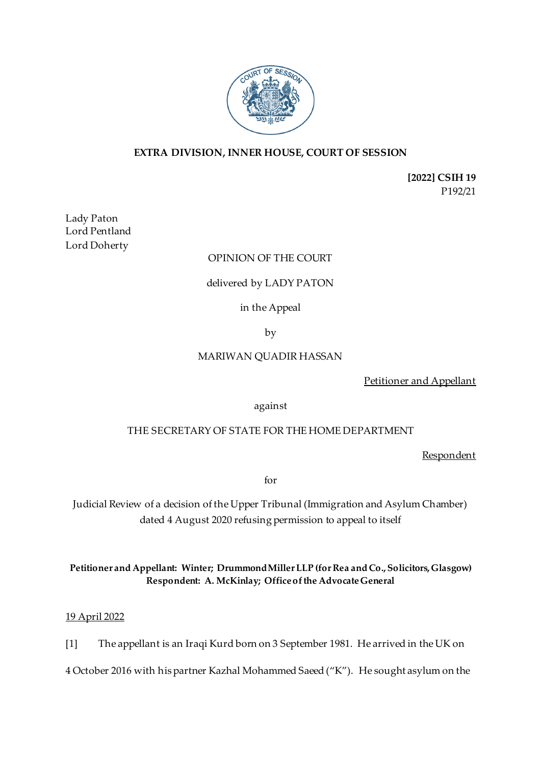

## **EXTRA DIVISION, INNER HOUSE, COURT OF SESSION**

**[2022] CSIH 19** P192/21

Lady Paton Lord Pentland Lord Doherty

## OPINION OF THE COURT

## delivered by LADY PATON

in the Appeal

by

#### MARIWAN QUADIR HASSAN

Petitioner and Appellant

against

#### THE SECRETARY OF STATE FOR THE HOME DEPARTMENT

Respondent

for

Judicial Review of a decision of the Upper Tribunal (Immigration and Asylum Chamber) dated 4 August 2020 refusing permission to appeal to itself

## **Petitioner and Appellant: Winter; Drummond Miller LLP (for Rea and Co., Solicitors, Glasgow) Respondent: A. McKinlay; Office of the Advocate General**

## 19 April 2022

[1] The appellant is an Iraqi Kurd born on 3 September 1981. He arrived in the UK on

4 October 2016 with his partner Kazhal Mohammed Saeed ("K"). He sought asylum on the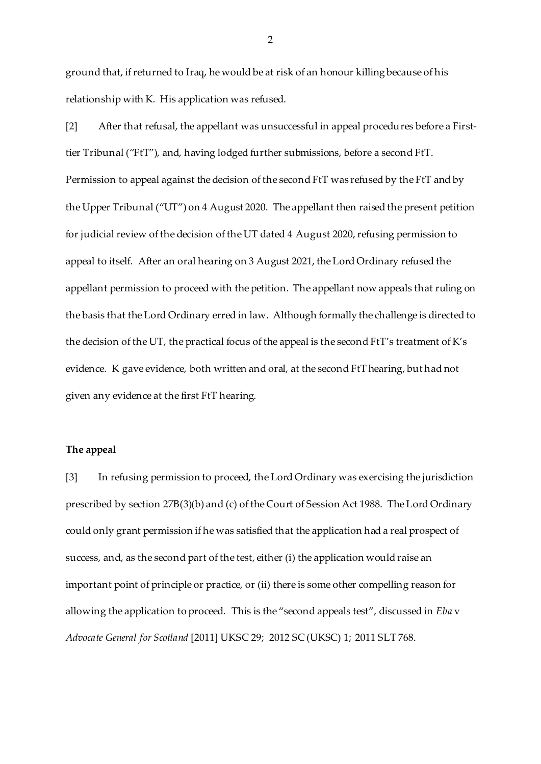ground that, if returned to Iraq, he would be at risk of an honour killing because of his relationship with K. His application was refused.

[2] After that refusal, the appellant was unsuccessful in appeal procedures before a Firsttier Tribunal ("FtT"), and, having lodged further submissions, before a second FtT. Permission to appeal against the decision of the second FtT was refused by the FtT and by the Upper Tribunal ("UT") on 4 August 2020. The appellant then raised the present petition for judicial review of the decision of the UT dated 4 August 2020, refusing permission to appeal to itself. After an oral hearing on 3 August 2021, the Lord Ordinary refused the appellant permission to proceed with the petition. The appellant now appeals that ruling on the basis that the Lord Ordinary erred in law. Although formally the challenge is directed to the decision of the UT, the practical focus of the appeal is the second FtT's treatment of K's evidence. K gave evidence, both written and oral, at the second FtT hearing, but had not given any evidence at the first FtT hearing.

## **The appeal**

[3] In refusing permission to proceed, the Lord Ordinary was exercising the jurisdiction prescribed by section 27B(3)(b) and (c) of the Court of Session Act 1988. The Lord Ordinary could only grant permission if he was satisfied that the application had a real prospect of success, and, as the second part of the test, either (i) the application would raise an important point of principle or practice, or (ii) there is some other compelling reason for allowing the application to proceed. This is the "second appeals test", discussed in *Eba* v *Advocate General for Scotland* [2011] UKSC 29; 2012 SC (UKSC) 1; 2011 SLT 768.

2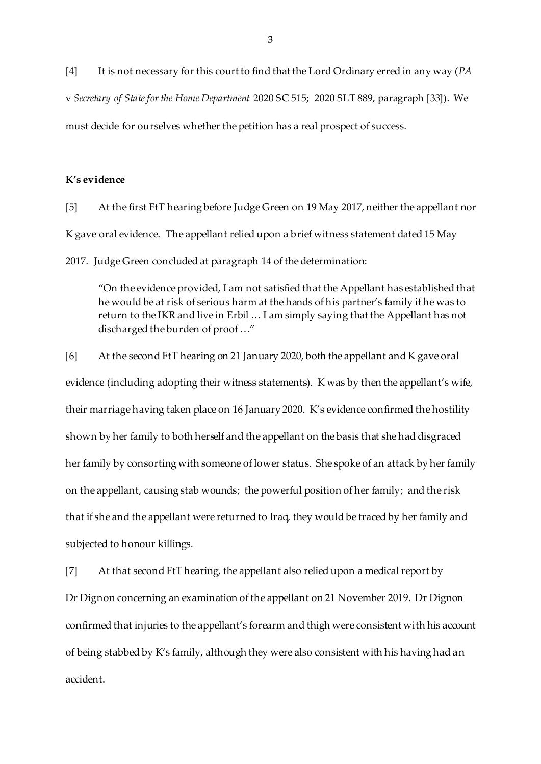[4] It is not necessary for this court to find that the Lord Ordinary erred in any way (*PA* v *Secretary of State for the Home Department* 2020 SC 515; 2020 SLT 889, paragraph [33]). We must decide for ourselves whether the petition has a real prospect of success.

#### **K's evidence**

[5] At the first FtT hearing before Judge Green on 19 May 2017, neither the appellant nor K gave oral evidence. The appellant relied upon a brief witness statement dated 15 May 2017. Judge Green concluded at paragraph 14 of the determination:

"On the evidence provided, I am not satisfied that the Appellant has established that he would be at risk of serious harm at the hands of his partner's family if he was to return to the IKR and live in Erbil … I am simply saying that the Appellant has not discharged the burden of proof …"

[6] At the second FtT hearing on 21 January 2020, both the appellant and K gave oral evidence (including adopting their witness statements). K was by then the appellant's wife, their marriage having taken place on 16 January 2020. K's evidence confirmed the hostility shown by her family to both herself and the appellant on the basis that she had disgraced her family by consorting with someone of lower status. She spoke of an attack by her family on the appellant, causing stab wounds; the powerful position of her family; and the risk that if she and the appellant were returned to Iraq, they would be traced by her family and subjected to honour killings.

[7] At that second FtT hearing, the appellant also relied upon a medical report by Dr Dignon concerning an examination of the appellant on 21 November 2019. Dr Dignon confirmed that injuries to the appellant's forearm and thigh were consistent with his account of being stabbed by K's family, although they were also consistent with his having had an accident.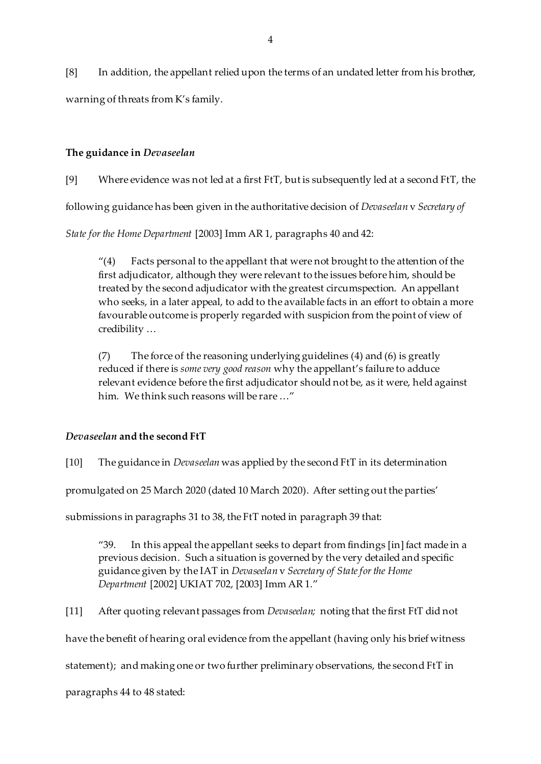[8] In addition, the appellant relied upon the terms of an undated letter from his brother, warning of threats from K's family.

## **The guidance in** *Devaseelan*

[9] Where evidence was not led at a first FtT, but is subsequently led at a second FtT, the

following guidance has been given in the authoritative decision of *Devaseelan* v *Secretary of* 

*State for the Home Department* [2003] Imm AR 1, paragraphs 40 and 42:

"(4) Facts personal to the appellant that were not brought to the attention of the first adjudicator, although they were relevant to the issues before him, should be treated by the second adjudicator with the greatest circumspection. An appellant who seeks, in a later appeal, to add to the available facts in an effort to obtain a more favourable outcome is properly regarded with suspicion from the point of view of credibility …

(7) The force of the reasoning underlying guidelines (4) and (6) is greatly reduced if there is *some very good reason* why the appellant's failure to adduce relevant evidence before the first adjudicator should not be, as it were, held against him. We think such reasons will be rare …"

# *Devaseelan* **and the second FtT**

[10] The guidance in *Devaseelan* was applied by the second FtT in its determination

promulgated on 25 March 2020 (dated 10 March 2020). After setting out the parties'

submissions in paragraphs 31 to 38, the FtT noted in paragraph 39 that:

"39. In this appeal the appellant seeks to depart from findings [in] fact made in a previous decision. Such a situation is governed by the very detailed and specific guidance given by the IAT in *Devaseelan* v *Secretary of State for the Home Department* [2002] UKIAT 702, [2003] Imm AR 1."

[11] After quoting relevant passages from *Devaseelan;* noting that the first FtT did not

have the benefit of hearing oral evidence from the appellant (having only his brief witness

statement); and making one or two further preliminary observations, the second FtT in

paragraphs 44 to 48 stated: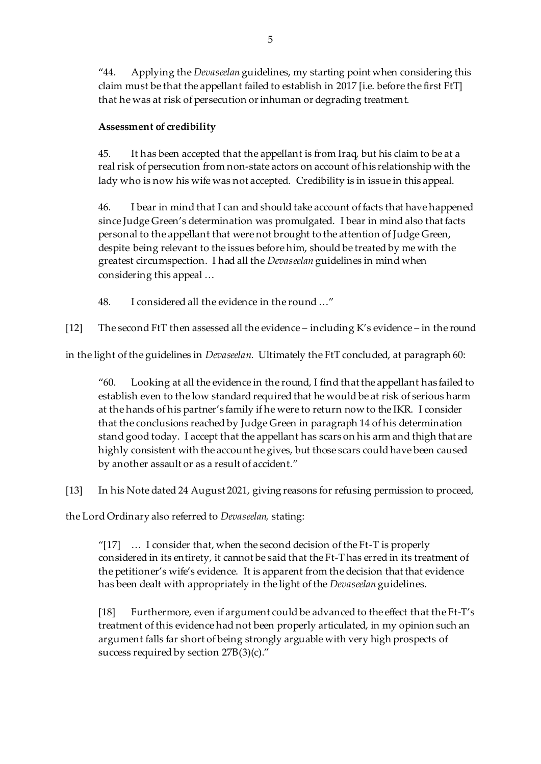"44. Applying the *Devaseelan* guidelines, my starting point when considering this claim must be that the appellant failed to establish in 2017 [i.e. before the first FtT] that he was at risk of persecution or inhuman or degrading treatment.

# **Assessment of credibility**

45. It has been accepted that the appellant is from Iraq, but his claim to be at a real risk of persecution from non-state actors on account of his relationship with the lady who is now his wife was not accepted. Credibility is in issue in this appeal.

46. I bear in mind that I can and should take account of facts that have happened since Judge Green's determination was promulgated. I bear in mind also that facts personal to the appellant that were not brought to the attention of Judge Green, despite being relevant to the issues before him, should be treated by me with the greatest circumspection. I had all the *Devaseelan* guidelines in mind when considering this appeal …

48. I considered all the evidence in the round …"

[12] The second FtT then assessed all the evidence – including K's evidence – in the round

in the light of the guidelines in *Devaseelan*. Ultimately the FtT concluded, at paragraph 60:

"60. Looking at all the evidence in the round, I find that the appellant has failed to establish even to the low standard required that he would be at risk of serious harm at the hands of his partner's family if he were to return now to the IKR. I consider that the conclusions reached by Judge Green in paragraph 14 of his determination stand good today. I accept that the appellant has scars on his arm and thigh that are highly consistent with the account he gives, but those scars could have been caused by another assault or as a result of accident."

[13] In his Note dated 24 August 2021, giving reasons for refusing permission to proceed,

the Lord Ordinary also referred to *Devaseelan,* stating:

"[17]  $\ldots$  I consider that, when the second decision of the Ft-T is properly considered in its entirety, it cannot be said that the Ft-T has erred in its treatment of the petitioner's wife's evidence. It is apparent from the decision that that evidence has been dealt with appropriately in the light of the *Devaseelan* guidelines.

[18] Furthermore, even if argument could be advanced to the effect that the Ft-T's treatment of this evidence had not been properly articulated, in my opinion such an argument falls far short of being strongly arguable with very high prospects of success required by section 27B(3)(c)."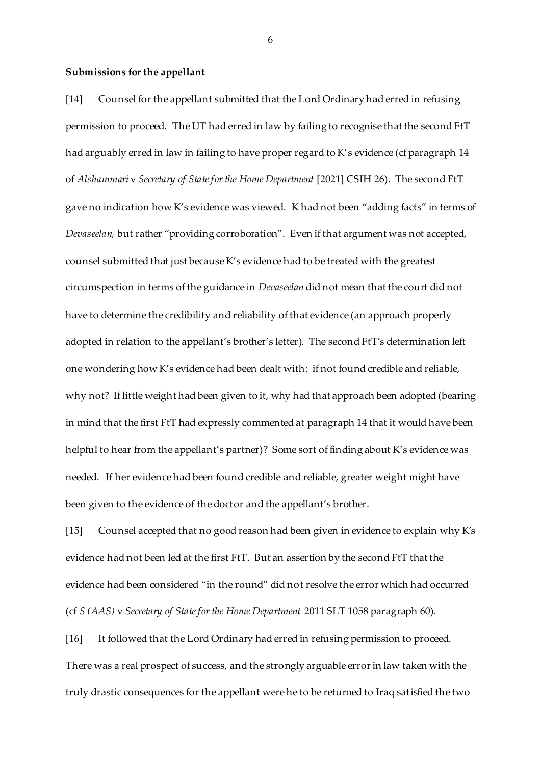#### **Submissions for the appellant**

[14] Counsel for the appellant submitted that the Lord Ordinary had erred in refusing permission to proceed. The UT had erred in law by failing to recognise that the second FtT had arguably erred in law in failing to have proper regard to K's evidence (cf paragraph 14 of *Alshammari* v *Secretary of State for the Home Department* [2021] CSIH 26). The second FtT gave no indication how K's evidence was viewed. K had not been "adding facts" in terms of *Devaseelan,* but rather "providing corroboration". Even if that argument was not accepted, counsel submitted that just because K's evidence had to be treated with the greatest circumspection in terms of the guidance in *Devaseelan* did not mean that the court did not have to determine the credibility and reliability of that evidence (an approach properly adopted in relation to the appellant's brother's letter). The second FtT's determination left one wondering how K's evidence had been dealt with: if not found credible and reliable, why not? If little weight had been given to it, why had that approach been adopted (bearing in mind that the first FtT had expressly commented at paragraph 14 that it would have been helpful to hear from the appellant's partner)? Some sort of finding about K's evidence was needed. If her evidence had been found credible and reliable, greater weight might have been given to the evidence of the doctor and the appellant's brother.

[15] Counsel accepted that no good reason had been given in evidence to explain why K's evidence had not been led at the first FtT. But an assertion by the second FtT that the evidence had been considered "in the round" did not resolve the error which had occurred (cf *S (AAS)* v *Secretary of State for the Home Department* 2011 SLT 1058 paragraph 60).

[16] It followed that the Lord Ordinary had erred in refusing permission to proceed. There was a real prospect of success, and the strongly arguable error in law taken with the truly drastic consequences for the appellant were he to be returned to Iraq satisfied the two

6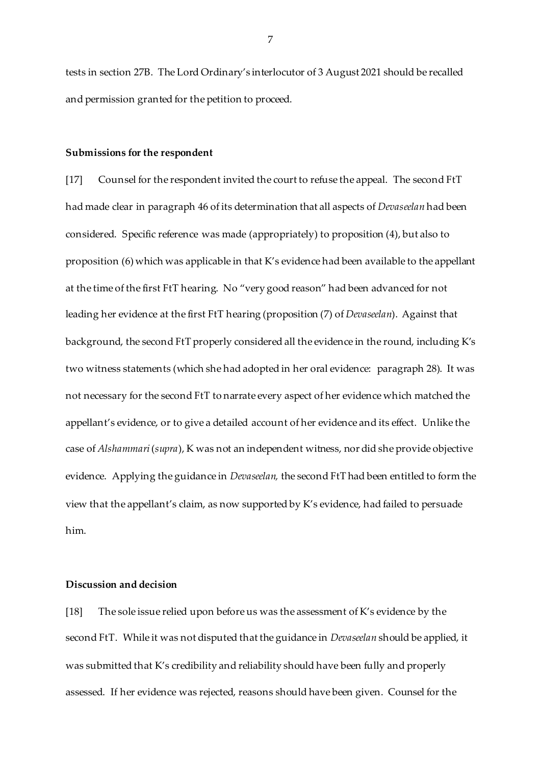tests in section 27B. The Lord Ordinary's interlocutor of 3 August 2021 should be recalled and permission granted for the petition to proceed.

#### **Submissions for the respondent**

[17] Counsel for the respondent invited the court to refuse the appeal. The second FtT had made clear in paragraph 46 of its determination that all aspects of *Devaseelan* had been considered. Specific reference was made (appropriately) to proposition (4), but also to proposition (6) which was applicable in that K's evidence had been available to the appellant at the time of the first FtT hearing. No "very good reason" had been advanced for not leading her evidence at the first FtT hearing (proposition (7) of *Devaseelan*). Against that background, the second FtT properly considered all the evidence in the round, including K's two witness statements (which she had adopted in her oral evidence: paragraph 28). It was not necessary for the second FtT to narrate every aspect of her evidence which matched the appellant's evidence, or to give a detailed account of her evidence and its effect. Unlike the case of *Alshammari*(*supra*), K was not an independent witness, nor did she provide objective evidence. Applying the guidance in *Devaseelan,* the second FtT had been entitled to form the view that the appellant's claim, as now supported by K's evidence, had failed to persuade him.

#### **Discussion and decision**

[18] The sole issue relied upon before us was the assessment of K's evidence by the second FtT. While it was not disputed that the guidance in *Devaseelan* should be applied, it was submitted that K's credibility and reliability should have been fully and properly assessed. If her evidence was rejected, reasons should have been given. Counsel for the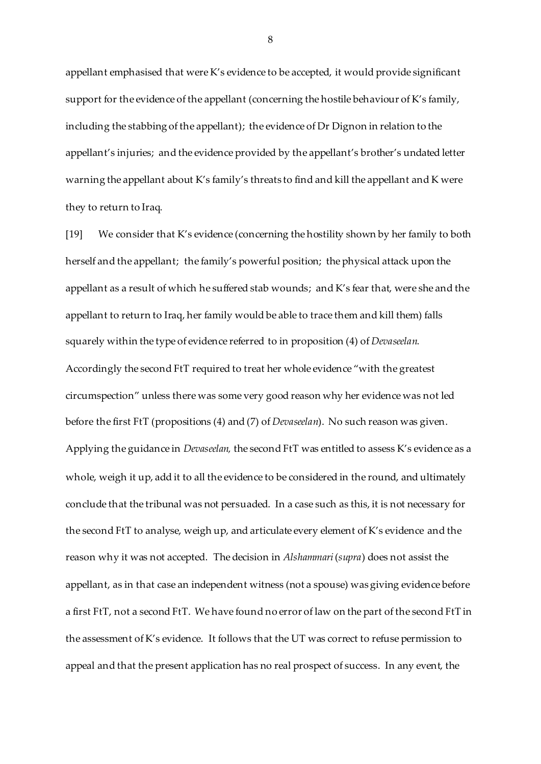appellant emphasised that were K's evidence to be accepted, it would provide significant support for the evidence of the appellant (concerning the hostile behaviour of K's family, including the stabbing of the appellant); the evidence of Dr Dignon in relation to the appellant's injuries; and the evidence provided by the appellant's brother's undated letter warning the appellant about K's family's threats to find and kill the appellant and K were they to return to Iraq.

[19] We consider that K's evidence (concerning the hostility shown by her family to both herself and the appellant; the family's powerful position; the physical attack upon the appellant as a result of which he suffered stab wounds; and K's fear that, were she and the appellant to return to Iraq, her family would be able to trace them and kill them) falls squarely within the type of evidence referred to in proposition (4) of *Devaseelan.*  Accordingly the second FtT required to treat her whole evidence "with the greatest circumspection" unless there was some very good reason why her evidence was not led before the first FtT (propositions (4) and (7) of *Devaseelan*). No such reason was given. Applying the guidance in *Devaseelan,* the second FtT was entitled to assess K's evidence as a whole, weigh it up, add it to all the evidence to be considered in the round, and ultimately conclude that the tribunal was not persuaded. In a case such as this, it is not necessary for the second FtT to analyse, weigh up, and articulate every element of K's evidence and the reason why it was not accepted. The decision in *Alshammari*(*supra*) does not assist the appellant, as in that case an independent witness (not a spouse) was giving evidence before a first FtT, not a second FtT. We have found no error of law on the part of the second FtT in the assessment of K's evidence. It follows that the UT was correct to refuse permission to appeal and that the present application has no real prospect of success. In any event, the

8